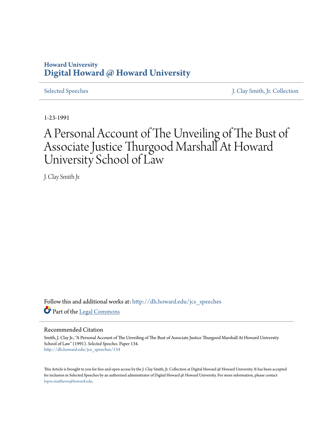## **Howard University [Digital Howard @ Howard University](http://dh.howard.edu?utm_source=dh.howard.edu%2Fjcs_speeches%2F134&utm_medium=PDF&utm_campaign=PDFCoverPages)**

[Selected Speeches](http://dh.howard.edu/jcs_speeches?utm_source=dh.howard.edu%2Fjcs_speeches%2F134&utm_medium=PDF&utm_campaign=PDFCoverPages) [J. Clay Smith, Jr. Collection](http://dh.howard.edu/jcsmith?utm_source=dh.howard.edu%2Fjcs_speeches%2F134&utm_medium=PDF&utm_campaign=PDFCoverPages)

1-23-1991

## A Personal Account of The Unveiling of The Bust of Associate Justice Thurgood Marshall At Howard University School of Law

J. Clay Smith Jr.

Follow this and additional works at: [http://dh.howard.edu/jcs\\_speeches](http://dh.howard.edu/jcs_speeches?utm_source=dh.howard.edu%2Fjcs_speeches%2F134&utm_medium=PDF&utm_campaign=PDFCoverPages) Part of the [Legal Commons](http://network.bepress.com/hgg/discipline/502?utm_source=dh.howard.edu%2Fjcs_speeches%2F134&utm_medium=PDF&utm_campaign=PDFCoverPages)

## Recommended Citation

Smith, J. Clay Jr., "A Personal Account of The Unveiling of The Bust of Associate Justice Thurgood Marshall At Howard University School of Law" (1991). *Selected Speeches.* Paper 134. [http://dh.howard.edu/jcs\\_speeches/134](http://dh.howard.edu/jcs_speeches/134?utm_source=dh.howard.edu%2Fjcs_speeches%2F134&utm_medium=PDF&utm_campaign=PDFCoverPages)

This Article is brought to you for free and open access by the J. Clay Smith, Jr. Collection at Digital Howard @ Howard University. It has been accepted for inclusion in Selected Speeches by an authorized administrator of Digital Howard @ Howard University. For more information, please contact [lopez.matthews@howard.edu.](mailto:lopez.matthews@howard.edu)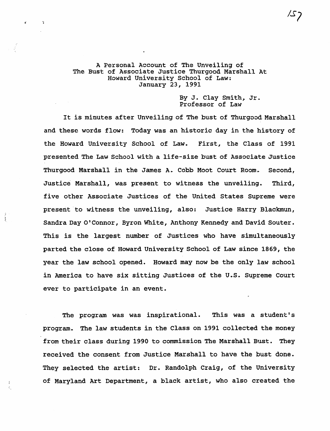## A Personal Account of The Unveiling of The Bust of Associate Justice Thurgood Marshall At Howard University school of Law: January 23, 1991

By J. Clay Smith, Jr. Professor of Law

It is minutes after Unveiling of The bust of Thurgood Marshall and these words flow: Today was an historic day in the history of the Howard University School of Law. First, the Class of 1991 presented The Law School with a life-size bust of Associate Justice Thurgood Marshall in the James A. Cobb Moot Court Room. Second, Justice Marshall, was present to witness the unveiling. Third, five other Associate Justices of the United States Supreme were present 'to witness the unveiling, also: Justice Harry Blackmun, Sandra Day O·Connor, Byron White, Anthony Kennedy and David Souter. This is the largest number of Justices who have simultaneously parted the close of Howard University School of Law since 1869, the year the law school opened. Howard may now be the only law school in America to have six sitting Justices of the U.s. Supreme Court ever to participate in an event.

ţ

The program was was inspirational. This was a student's program.. The law students in the Class on 1991 collected the money from their class during 1990 to commission The Marshall Bust. They received the consent from Justice Marshall to have the bust done. They selected the artist: Dr. Randolph Craig, of the University of Maryland Art Department, a black artist, who also created the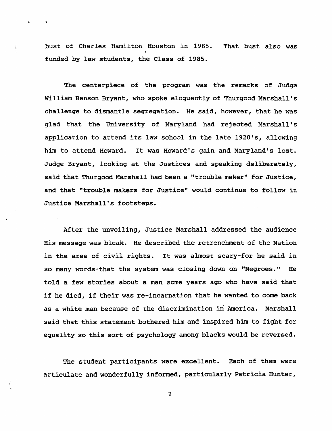bust of Charles Hamilton Houston in 1985. That bust also was funded by law students, the Class of 1985.

 $\frac{\sqrt{2}}{2}$ 

The centerpiece of the program was the remarks of Judge William Benson Bryant, who spoke eloquently of Thurgood Marshall's challenge to dismantle segregation. He said, however, that he was glad that the University of Maryland had rejected Marshall's application to attend its law school in the late 1920's, allowing him to attend Howard. It was Howard's gain and Maryland's lost. Judge Bryant, looking at the Justices and speaking deliberately, said that Thurgood Marshall had been a "trouble maker" for Justice, and that "trouble makers for Justice" would continue to follow in Justice Marshall's footsteps.

After the unveiling, Justice Marshall addressed the audience His message was bleak. He described the retrenchment of the Nation in the area of civil rights. It was almost scary-for he said in so many words-that the system was closing down on "Negroes." He told a few stories about a man some years ago who have said that if he died, if their was re-incarnation that he wanted to come back as a white man because of the discrimination in America. Marshall said that this statement bothered him and inspired him to fight for equality so this sort of psychology among blacks would be reversed.

The student participants were excellent. Each of them were articulate and wonderfully informed, particularly Patricia Hunter,

2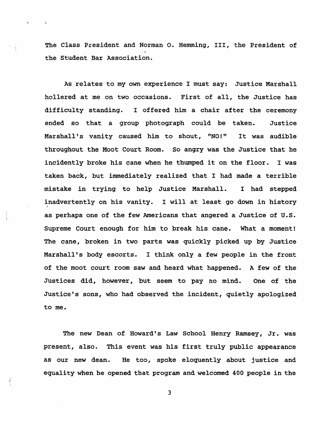The Class President and Norman o. Hemming, III, the President of the Student Bar Association.

As relates to my own experience I must say: Justice Marshall hollered at me on two occasions. First of all, the Justice has difficulty standing. I offered him a chair after the ceremony ended so that a group photograph could be taken. Justice Marshall's vanity caused him to shout, "NO!" It was audible throughout the Moot Court Room. So angry was the Justice that he incidently broke his cane when he thumped it on the floor. I was taken back, but immediately realized that I had made a terrible mistake in trying to help Justice Marshall. I had stepped inadvertently on his vanity. I will at least go down *in* history as perhaps one of the few Americans that angered a Justice of U.S. Supreme court enough for him to break his cane. What a moment! The cane, broken in two parts was quickly picked up by Justice Marshall's body escorts. I think only a few people in the front of the moot court room saw and heard what happened. A few of the Justices did, however, but seem to pay no mind. One of the Justice's sons, who had observed the incident, quietly apologized to me.

The new Dean of Howard's Law School Henry Ramsey, Jr. was present, also. This event was his first truly public appearance as our new dean. He too, spoke eloquently about justice and equality when he opened that program and welcomed 400 people in the

3